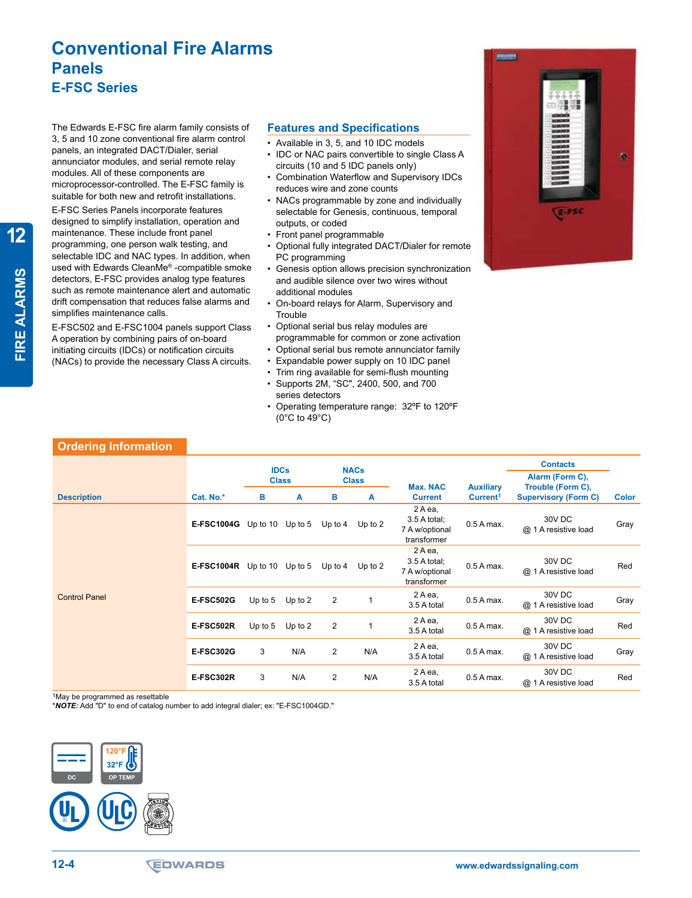## **Conventional Fire Alarms Panels E-FSC Series**

The Edwards E-FSC fire alarm family consists of 3, 5 and 10 zone conventional fire alarm control panels, an integrated DACT/Dialer, serial annunciator modules, and serial remote relay modules. All of these components are microprocessor-controlled. The E-FSC family is suitable for both new and retrofit installations.

E-FSC Series Panels incorporate features designed to simplify installation, operation and maintenance. These include front panel programming, one person walk testing, and selectable IDC and NAC types. In addition, when used with Edwards CleanMe® -compatible smoke detectors, E-FSC provides analog type features such as remote maintenance alert and automatic drift compensation that reduces false alarms and simplifies maintenance calls.

E-FSC502 and E-FSC1004 panels support Class A operation by combining pairs of on-board initiating circuits (IDCs) or notification circuits (NACs) to provide the necessary Class A circuits.

#### **Features and Specifications**

- • Available in 3, 5, and 10 IDC models
- IDC or NAC pairs convertible to single Class A circuits (10 and 5 IDC panels only)
- Combination Waterflow and Supervisory IDCs reduces wire and zone counts
- • NACs programmable by zone and individually selectable for Genesis, continuous, temporal outputs, or coded
- • Front panel programmable
- • Optional fully integrated DACT/Dialer for remote PC programming
- • Genesis option allows precision synchronization and audible silence over two wires without additional modules
- • On-board relays for Alarm, Supervisory and **Trouble**
- • Optional serial bus relay modules are programmable for common or zone activation
- • Optional serial bus remote annunciator family
- Expandable power supply on 10 IDC panel
- • Trim ring available for semi-flush mounting
- Supports 2M, "SC", 2400, 500, and 700 series detectors
- Operating temperature range: 32°F to 120°F (0°C to 49°C)

| oei                                                                                                                                                                                                              |  |
|------------------------------------------------------------------------------------------------------------------------------------------------------------------------------------------------------------------|--|
| <b>CONTRACT</b><br>---<br><b><i><u>SHERES</u></i></b><br><b>EDITE</b><br><b>EM3CI</b><br><b>COUNTY</b><br>÷<br><b>CHEMICH</b><br><b>COMMER</b><br><b>COMMERCIA</b><br>---<br><b>COLORS</b><br><b>COLORS</b><br>m |  |
| E-FSC                                                                                                                                                                                                            |  |

| <b>Ordering Information</b> |                   |              |           |                |              |                                                           |                      |                                                  |              |
|-----------------------------|-------------------|--------------|-----------|----------------|--------------|-----------------------------------------------------------|----------------------|--------------------------------------------------|--------------|
|                             |                   | <b>IDCs</b>  |           |                | <b>NACs</b>  |                                                           |                      | <b>Contacts</b>                                  |              |
|                             |                   | <b>Class</b> |           |                | <b>Class</b> | <b>Max. NAC</b>                                           | <b>Auxiliary</b>     | Alarm (Form C),                                  |              |
| <b>Description</b>          | Cat. No.*         | в            | A         | в              | A            | <b>Current</b>                                            | Current <sup>1</sup> | Trouble (Form C),<br><b>Supervisory (Form C)</b> | <b>Color</b> |
|                             | <b>E-FSC1004G</b> | Up to $10$   | Up to $5$ | Up to $4$      | Up to $2$    | 2 A ea,<br>3.5 A total;<br>7 A w/optional<br>transformer  | $0.5A$ max.          | 30V DC<br>@ 1 A resistive load                   | Gray         |
|                             | <b>E-FSC1004R</b> | Up to $10$   | Up to $5$ | Up to $4$      | Up to $2$    | 2 A ea,<br>$3.5A$ total;<br>7 A w/optional<br>transformer | $0.5A$ max.          | 30V DC<br>@ 1 A resistive load                   | Red          |
| <b>Control Panel</b>        | <b>E-FSC502G</b>  | Up to $5$    | Up to $2$ | 2              |              | 2 A ea,<br>3.5 A total                                    | $0.5A$ max.          | 30V DC<br>@ 1 A resistive load                   | Gray         |
|                             | <b>E-FSC502R</b>  | Up to $5$    | Up to $2$ | 2              | 1            | 2 A ea,<br>3.5 A total                                    | 0.5 A max.           | 30V DC<br>@ 1 A resistive load                   | Red          |
|                             | <b>E-FSC302G</b>  | 3            | N/A       | $\overline{c}$ | N/A          | 2 A ea,<br>3.5 A total                                    | $0.5A$ max.          | 30V DC<br>@ 1 A resistive load                   | Gray         |
|                             | <b>E-FSC302R</b>  | 3            | N/A       | $\overline{c}$ | N/A          | 2 A ea,<br>3.5 A total                                    | 0.5 A max.           | 30V DC<br>@ 1 A resistive load                   | Red          |

1May be programmed as resettable

\**NOTE:* Add "D" to end of catalog number to add integral dialer; ex: "E-FSC1004GD."



**12**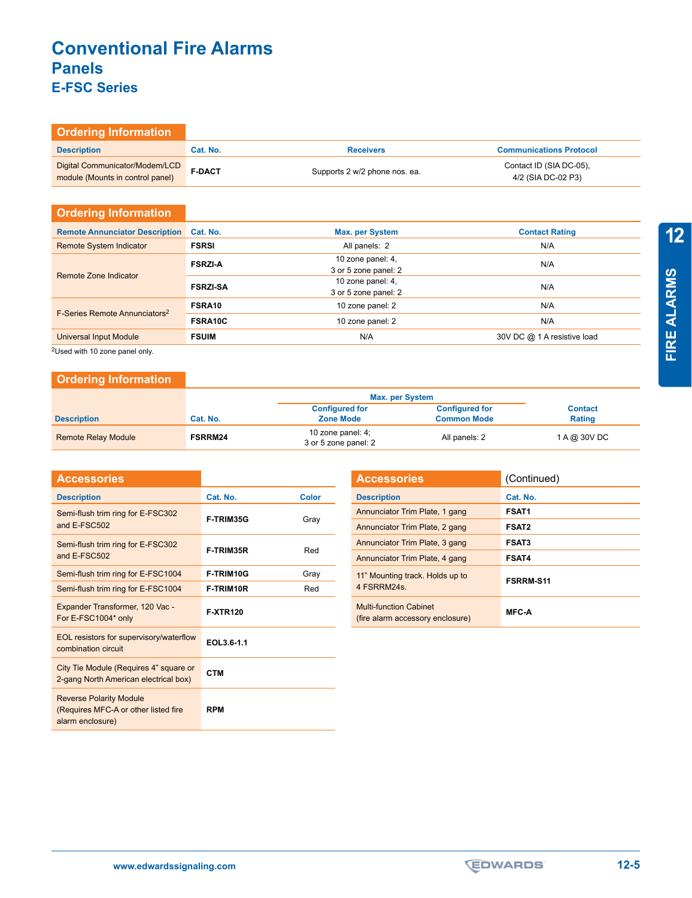# **Conventional Fire Alarms Panels E-FSC Series**

| <b>Ordering Information</b>                                        |               |                               |                                               |
|--------------------------------------------------------------------|---------------|-------------------------------|-----------------------------------------------|
| <b>Description</b>                                                 | Cat. No.      | <b>Receivers</b>              | <b>Communications Protocol</b>                |
| Digital Communicator/Modem/LCD<br>module (Mounts in control panel) | <b>F-DACT</b> | Supports 2 w/2 phone nos. ea. | Contact ID (SIA DC-05).<br>4/2 (SIA DC-02 P3) |

### **Ordering Information**

| <b>Remote Annunciator Description</b>                       | Cat. No.        | <b>Max. per System</b>                    | <b>Contact Rating</b>       |
|-------------------------------------------------------------|-----------------|-------------------------------------------|-----------------------------|
| <b>Remote System Indicator</b>                              | <b>FSRSI</b>    | All panels: 2                             | N/A                         |
| Remote Zone Indicator                                       | <b>FSRZI-A</b>  | 10 zone panel: 4,<br>3 or 5 zone panel: 2 | N/A                         |
|                                                             | <b>FSRZI-SA</b> | 10 zone panel: 4,<br>3 or 5 zone panel: 2 | N/A                         |
|                                                             | FSRA10          | 10 zone panel: 2                          | N/A                         |
| F-Series Remote Annunciators <sup>2</sup><br><b>FSRA10C</b> |                 | 10 zone panel: 2                          | N/A                         |
| <b>Universal Input Module</b>                               | <b>FSUIM</b>    | N/A                                       | 30V DC @ 1 A resistive load |

2Used with 10 zone panel only.

### **Ordering Information**

|                            |                | Max. per System                              |                       |                |
|----------------------------|----------------|----------------------------------------------|-----------------------|----------------|
|                            |                | <b>Configured for</b>                        | <b>Configured for</b> | <b>Contact</b> |
| <b>Description</b>         | Cat. No.       | <b>Zone Mode</b>                             | <b>Common Mode</b>    | <b>Rating</b>  |
| <b>Remote Relay Module</b> | <b>FSRRM24</b> | 10 zone panel: $4$ ;<br>3 or 5 zone panel: 2 | All panels: 2         | 1 A @ 30V DC   |

| <b>Accessories</b>                                                                         |                  |       |
|--------------------------------------------------------------------------------------------|------------------|-------|
| <b>Description</b>                                                                         | Cat. No.         | Color |
| Semi-flush trim ring for E-FSC302<br>and E-FSC502                                          | F-TRIM35G        | Gray  |
| Semi-flush trim ring for E-FSC302<br>and E-FSC502                                          | <b>F-TRIM35R</b> | Red   |
| Semi-flush trim ring for E-FSC1004                                                         | F-TRIM10G        | Gray  |
| Semi-flush trim ring for E-FSC1004                                                         | F-TRIM10R        | Red   |
| Expander Transformer, 120 Vac -<br>For E-FSC1004* only                                     | <b>F-XTR120</b>  |       |
| EOL resistors for supervisory/waterflow<br>combination circuit                             | EOL3.6-1.1       |       |
| City Tie Module (Requires 4" square or<br>2-gang North American electrical box)            | <b>CTM</b>       |       |
| <b>Reverse Polarity Module</b><br>(Requires MFC-A or other listed fire<br>alarm enclosure) | <b>RPM</b>       |       |

| <b>Accessories</b>                                                | (Continued)      |
|-------------------------------------------------------------------|------------------|
| <b>Description</b>                                                | Cat. No.         |
| Annunciator Trim Plate, 1 gang                                    | <b>FSAT1</b>     |
| Annunciator Trim Plate, 2 gang                                    | <b>FSAT2</b>     |
| Annunciator Trim Plate, 3 gang                                    | <b>FSAT3</b>     |
| Annunciator Trim Plate, 4 gang                                    | <b>FSAT4</b>     |
| 11" Mounting track. Holds up to<br>4 FSRRM24s.                    | <b>FSRRM-S11</b> |
| <b>Multi-function Cabinet</b><br>(fire alarm accessory enclosure) | <b>MFC-A</b>     |

**12**